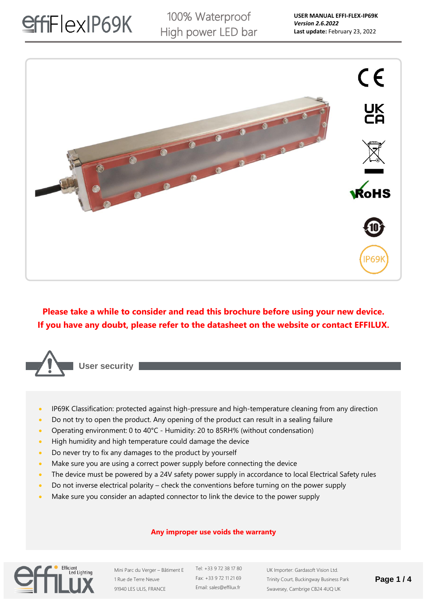

**Please take a while to consider and read this brochure before using your new device. If you have any doubt, please refer to the datasheet on the website or contact EFFILUX.**



**User security**

- IP69K Classification: protected against high-pressure and high-temperature cleaning from any direction
- Do not try to open the product. Any opening of the product can result in a sealing failure
- Operating environment: 0 to 40°C Humidity: 20 to 85RH% (without condensation)
- High humidity and high temperature could damage the device
- Do never try to fix any damages to the product by yourself
- Make sure you are using a correct power supply before connecting the device
- The device must be powered by a 24V safety power supply in accordance to local Electrical Safety rules
- Do not inverse electrical polarity check the conventions before turning on the power supply
- Make sure you consider an adapted connector to link the device to the power supply

### **Any improper use voids the warranty**



Mini Parc du Verger – Bâtiment E 1 Rue de Terre Neuve 91940 LES ULIS, FRANCE

Tel: +33 9 72 38 17 80 Fax: +33 9 72 11 21 69 Email: sales@effilux.fr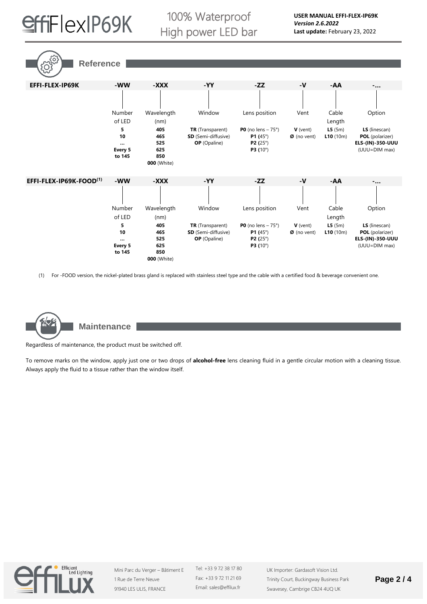

100% Waterproof High power LED bar

**EFFI-FLEX-IP69K -WW -XXX -YY -ZZ -V -AA -…** Number of LED Wavelength (nm) Window Lens position Vent Cable Length Option **5 10 … Every 5 to 145 405 465 525 625 850 000** (White) **TR** (Transparent) **SD** (Semi-diffusive) **OP** (Opaline) **P0** (no lens – 75°) **P1 (**45°) **P2 (**25°) **P3 (**10°) **V** (vent) **Ø** (no vent) **L5** (5m) **L10** (10m) **LS** (linescan) **POL** (polarizer) **ELS-(IN)-350-UUU** (UUU=DIM max) **EFFI-FLEX-IP69K-FOOD(1) -WW -XXX -YY -ZZ -V -AA -…** Number of LED Wavelength (nm) Window Lens position Vent Cable Length Option **5 10 … Every 5 to 145 405 465 525 625 850 000** (White) **TR** (Transparent) **SD** (Semi-diffusive) **OP** (Opaline) **P0** (no lens – 75°) **P1 (**45°) **P2 (**25°) **P3 (**10°) **V** (vent) **Ø** (no vent) **L5** (5m) **L10** (10m) **LS** (linescan) **POL** (polarizer) **ELS-(IN)-350-UUU** (UUU=DIM max) **Reference** 

(1) For -FOOD version, the nickel-plated brass gland is replaced with stainless steel type and the cable with a certified food & beverage convenient one.



**Maintenance**

Regardless of maintenance, the product must be switched off.

To remove marks on the window, apply just one or two drops of **alcohol-free** lens cleaning fluid in a gentle circular motion with a cleaning tissue. Always apply the fluid to a tissue rather than the window itself.



Mini Parc du Verger – Bâtiment E 1 Rue de Terre Neuve 91940 LES ULIS, FRANCE

Tel: +33 9 72 38 17 80 Fax: +33 9 72 11 21 69 Email: sales@effilux.fr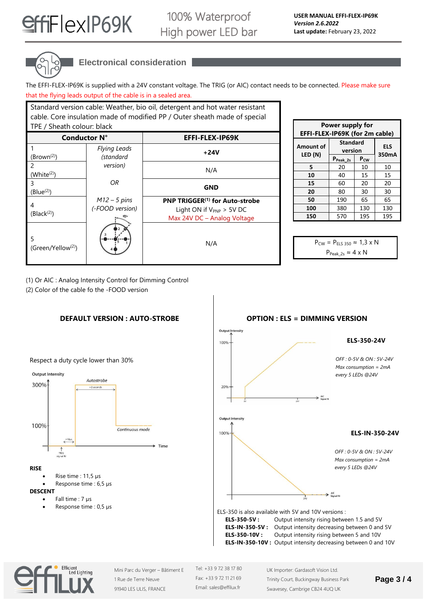



## **Electronical consideration**

Standard version cable: Weather, bio oil, detergent and hot water resistant

The EFFI-FLEX-IP69K is supplied with a 24V constant voltage. The TRIG (or AIC) contact needs to be connected. Please make sure that the flying leads output of the cable is in a sealed area.

| cable. Core insulation made of modified PP / Outer sheath made of special<br>TPE / Sheath colour: black |                                   |                                                                                                            |  |
|---------------------------------------------------------------------------------------------------------|-----------------------------------|------------------------------------------------------------------------------------------------------------|--|
| <b>Conductor N°</b>                                                                                     |                                   | EFFI-FLEX-IP69K                                                                                            |  |
| (Brown <sup>(2)</sup> )                                                                                 | <b>Flying Leads</b><br>(standard  | $+24V$                                                                                                     |  |
| 2<br>(White <sup>(2)</sup> )                                                                            | version)                          | N/A                                                                                                        |  |
| 3<br>(Blue $^{(2)}$ )                                                                                   | OR                                | <b>GND</b>                                                                                                 |  |
| 4<br>(Black <sup>(2)</sup> )                                                                            | $M12 - 5$ pins<br>(-FOOD version) | PNP TRIGGER <sup>(1)</sup> for Auto-strobe<br>Light ON if $V_{PNP} > 5V$ DC<br>Max 24V DC - Analog Voltage |  |
| 5<br>(Green/Yellow <sup>(2)</sup> )                                                                     |                                   | N/A                                                                                                        |  |

| Power supply for<br>EFFI-FLEX-IP69K (for 2m cable) |                            |                     |     |  |
|----------------------------------------------------|----------------------------|---------------------|-----|--|
| <b>Amount of</b>                                   | <b>Standard</b><br>version | <b>ELS</b><br>350mA |     |  |
| LED (N)                                            | P <sub>Peak_2s</sub>       | $P_{CW}$            |     |  |
| 5                                                  | 20                         | 10                  | 10  |  |
| 10                                                 | 40                         | 15                  | 15  |  |
| 15                                                 | 60                         | 20                  | 20  |  |
| 20                                                 | 80                         | 30                  | 30  |  |
| 50                                                 | 190                        | 65                  | 65  |  |
| 100                                                | 380                        | 130                 | 130 |  |
| 150                                                | 570                        | 195                 | 195 |  |

 $P_{CW} = P_{E15,350} \approx 1.3 \times N$  $P_{Peak 2s} \approx 4 \times N$ 

(1) Or AIC : Analog Intensity Control for Dimming Control

(2) Color of the cable fo the -FOOD version





Output **ELS-350-24V** 100% *OFF : 0-5V & ON : 5V-24V Max consumption = 2mA every 5 LEDs @24V* 20% Output Intensity 100% **ELS-IN-350-24V** *OFF : 0-5V & ON : 5V-24V Max consumption = 2mA every 5 LEDs @24V* ELS-350 is also available with 5V and 10V versions :

**ELS-350-5V :** Output intensity rising between 1.5 and 5V **ELS-IN-350-5V :** Output intensity decreasing between 0 and 5V **ELS-350-10V :** Output intensity rising between 5 and 10V **ELS-IN-350-10V :** Output intensity decreasing between 0 and 10V



Mini Parc du Verger – Bâtiment E 1 Rue de Terre Neuve 91940 LES ULIS, FRANCE

Tel: +33 9 72 38 17 80 Fax: +33 9 72 11 21 69 Email: sales@effilux.fr

UK Importer: Gardasoft Vision Ltd. Trinity Court, Buckingway Business Park Swavesey, Cambrige CB24 4UQ UK

### **Page 3 / 4**

### **OPTION : ELS = DIMMING VERSION**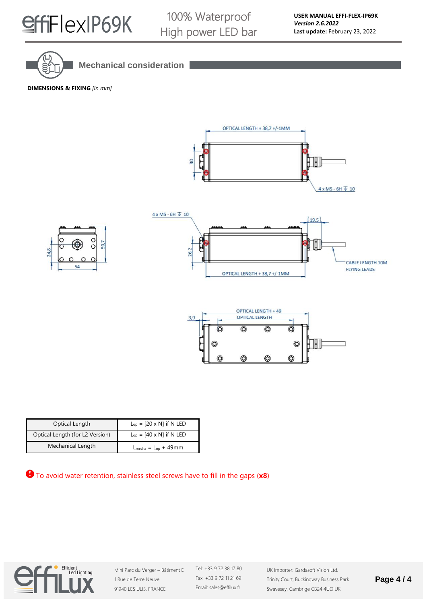

100% Waterproof High power LED bar



**Mechanical consideration**

**DIMENSIONS & FIXING** *[in mm]*







| Optical Length                  | $L_{op} = [20 \times N]$ if N LED |
|---------------------------------|-----------------------------------|
| Optical Length (for L2 Version) | $L_{op}$ = [40 x N] if N LED      |
| Mechanical Length               | $L_{mecha} = L_{op} + 49$ mm      |

To avoid water retention, stainless steel screws have to fill in the gaps (**x8**)



Mini Parc du Verger – Bâtiment E 1 Rue de Terre Neuve 91940 LES ULIS, FRANCE

Tel: +33 9 72 38 17 80 Fax: +33 9 72 11 21 69 Email: sales@effilux.fr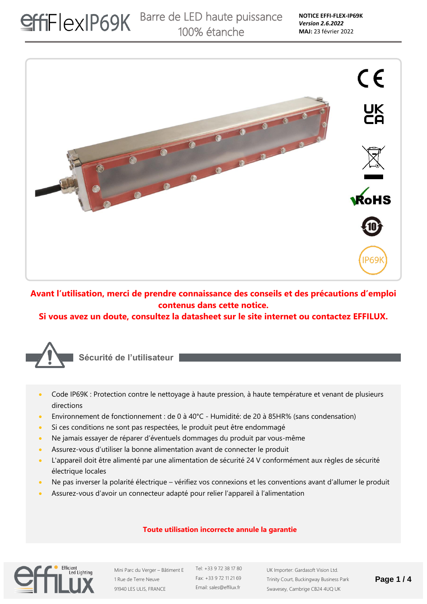

**Avant l'utilisation, merci de prendre connaissance des conseils et des précautions d'emploi contenus dans cette notice.** 

**Si vous avez un doute, consultez la datasheet sur le site internet ou contactez EFFILUX.**



**Sécurité de l'utilisateur**

- Code IP69K : Protection contre le nettoyage à haute pression, à haute température et venant de plusieurs directions
- Environnement de fonctionnement : de 0 à 40°C Humidité: de 20 à 85HR% (sans condensation)
- Si ces conditions ne sont pas respectées, le produit peut être endommagé
- Ne jamais essayer de réparer d'éventuels dommages du produit par vous-même
- Assurez-vous d'utiliser la bonne alimentation avant de connecter le produit
- L'appareil doit être alimenté par une alimentation de sécurité 24 V conformément aux règles de sécurité électrique locales
- Ne pas inverser la polarité électrique vérifiez vos connexions et les conventions avant d'allumer le produit
- Assurez-vous d'avoir un connecteur adapté pour relier l'appareil à l'alimentation

### **Toute utilisation incorrecte annule la garantie**



Mini Parc du Verger – Bâtiment E 1 Rue de Terre Neuve 91940 LES ULIS, FRANCE

Tel: +33 9 72 38 17 80 Fax: +33 9 72 11 21 69 Email: sales@effilux.fr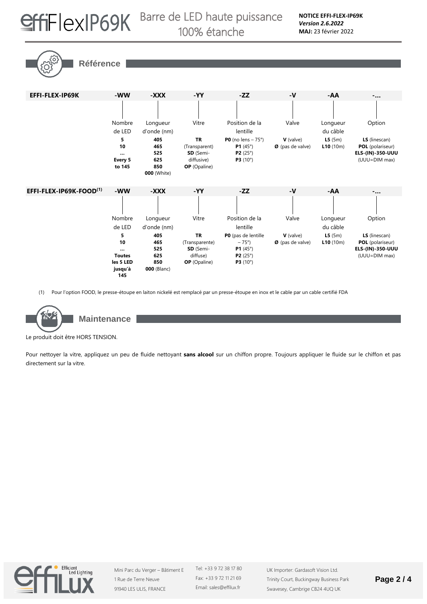

# SHFIEXIP69K Barre de LED haute puissance 100% étanche

**Référence** 

| EFFI-FLEX-IP69K                     | -WW                                                                 | -XXX                                                  | $-YY$                                                                        | $-ZZ$                                                                                                           | $-V$                            | -AA                | $-\ldots$                                                                     |
|-------------------------------------|---------------------------------------------------------------------|-------------------------------------------------------|------------------------------------------------------------------------------|-----------------------------------------------------------------------------------------------------------------|---------------------------------|--------------------|-------------------------------------------------------------------------------|
|                                     |                                                                     |                                                       |                                                                              |                                                                                                                 |                                 |                    |                                                                               |
|                                     | Nombre                                                              | Longueur                                              | Vitre                                                                        | Position de la                                                                                                  | Valve                           | Longueur           | Option                                                                        |
|                                     | de LED                                                              | d'onde (nm)                                           |                                                                              | lentille                                                                                                        |                                 | du câble           |                                                                               |
|                                     | 5<br>10<br><br>Every 5<br>to 145                                    | 405<br>465<br>525<br>625<br>850<br><b>000</b> (White) | <b>TR</b><br>(Transparent)<br>SD (Semi-<br>diffusive)<br><b>OP</b> (Opaline) | P0 (no lens $-75^\circ$ )<br><b>P1</b> (45 $^{\circ}$ )<br><b>P2</b> $(25^{\circ})$<br><b>P3</b> $(10^{\circ})$ | $V$ (valve)<br>Ø (pas de valve) | L5(5m)<br>L10(10m) | LS (linescan)<br><b>POL</b> (polariseur)<br>ELS-(IN)-350-UUU<br>(UUU=DIM max) |
| EFFI-FLEX-IP69K-FOOD <sup>(1)</sup> | -WW                                                                 | -XXX                                                  | $-YY$                                                                        | $-ZZ$                                                                                                           | -V                              | -AA                | $-$                                                                           |
|                                     | Nombre                                                              | Longueur                                              | Vitre                                                                        | Position de la                                                                                                  | Valve                           | Longueur           | Option                                                                        |
|                                     | de LED                                                              | d'onde (nm)                                           |                                                                              | lentille                                                                                                        |                                 | du câble           |                                                                               |
|                                     | 5<br>10<br>$\cdots$<br><b>Toutes</b><br>les 5 LED<br>jusqu'à<br>145 | 405<br>465<br>525<br>625<br>850<br><b>000</b> (Blanc) | <b>TR</b><br>(Transparente)<br>SD (Semi-<br>diffuse)<br><b>OP</b> (Opaline)  | PO (pas de lentille<br>$-75^{\circ}$ )<br><b>P1</b> (45 $^{\circ}$ )<br><b>P2</b> (25 $^{\circ}$ )<br>P3 (10°)  | V (valve)<br>Ø (pas de valve)   | L5(5m)<br>L10(10m) | LS (linescan)<br><b>POL</b> (polariseur)<br>ELS-(IN)-350-UUU<br>(UUU=DIM max) |

(1) Pour l'option FOOD, le presse-étoupe en laiton nickelé est remplacé par un presse-étoupe en inox et le cable par un cable certifié FDA



**Maintenance**

Le produit doit être HORS TENSION.

Pour nettoyer la vitre, appliquez un peu de fluide nettoyant **sans alcool** sur un chiffon propre. Toujours appliquer le fluide sur le chiffon et pas directement sur la vitre.



Mini Parc du Verger – Bâtiment E 1 Rue de Terre Neuve 91940 LES ULIS, FRANCE

Tel: +33 9 72 38 17 80 Fax: +33 9 72 11 21 69 Email: sales@effilux.fr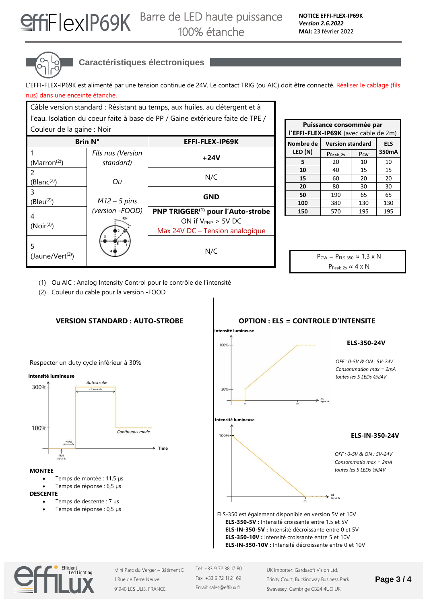

## **Caractéristiques électroniques**

L'EFFI-FLEX-IP69K est alimenté par une tension continue de 24V. Le contact TRIG (ou AIC) doit être connecté. Réaliser le cablage (fils nus) dans une enceinte étanche.

| Câble version standard : Résistant au temps, aux huiles, au détergent et à     |                                |                                               |  |  |
|--------------------------------------------------------------------------------|--------------------------------|-----------------------------------------------|--|--|
| l'eau. Isolation du coeur faite à base de PP / Gaine extérieure faite de TPE / |                                |                                               |  |  |
| Couleur de la gaine : Noir                                                     |                                |                                               |  |  |
| <b>Brin N°</b>                                                                 |                                | EFFI-FLEX-IP69K                               |  |  |
| (Marron <sup>(2)</sup> )                                                       | Fils nus (Version<br>standard) | +24V                                          |  |  |
|                                                                                |                                |                                               |  |  |
| (Blanc <sup>(2)</sup> )                                                        | Оu                             | N/C                                           |  |  |
| ξ<br>(Bleu <sup>(2)</sup> )                                                    | $M12 - 5$ pins                 | <b>GND</b>                                    |  |  |
|                                                                                | (version -FOOD)                | PNP TRIGGER <sup>(1)</sup> pour l'Auto-strobe |  |  |
| (Noir <sup>(2)</sup> )                                                         |                                | ON if $V_{PNP}$ > 5V DC                       |  |  |
|                                                                                |                                | Max 24V DC - Tension analogique               |  |  |
| (Jaune/Vert <sup>(2)</sup> )                                                   |                                | N/C                                           |  |  |

| Puissance consommée par<br>l'EFFI-FLEX-IP69K (avec cable de 2m) |                         |            |       |  |
|-----------------------------------------------------------------|-------------------------|------------|-------|--|
| Nombre de                                                       | <b>Version standard</b> | <b>ELS</b> |       |  |
| LED (N)                                                         | P <sub>Peak_2s</sub>    | $P_{CW}$   | 350mA |  |
| 5                                                               | 20                      | 10         | 10    |  |
| 10                                                              | 40                      | 15         | 15    |  |
| 15                                                              | 60                      | 20         | 20    |  |
| 20                                                              | 80                      | 30         | 30    |  |
| 50                                                              | 190                     | 65         | 65    |  |
| 100                                                             | 380                     | 130        | 130   |  |
| 150                                                             | 570                     | 195        | 195   |  |

 $P_{CW} = P_{ELS 350} \approx 1.3 \times N$  $P_{Peak\ 2s} \approx 4 \times N$ 

(1) Ou AIC : Analog Intensity Control pour le contrôle de l'intensité

(2) Couleur du cable pour la version -FOOD





ELS-350 est également disponible en version 5V et 10V **ELS-350-5V :** Intensité croissante entre 1.5 et 5V **ELS-IN-350-5V :** Intensité décroissante entre 0 et 5V **ELS-350-10V :** Intensité croissante entre 5 et 10V **ELS-IN-350-10V :** Intensité décroissante entre 0 et 10V



Mini Parc du Verger – Bâtiment E 1 Rue de Terre Neuve 91940 LES ULIS, FRANCE

Tel: +33 9 72 38 17 80 Fax: +33 9 72 11 21 69 Email: sales@effilux.fr

UK Importer: Gardasoft Vision Ltd. Trinity Court, Buckingway Business Park Swavesey, Cambrige CB24 4UQ UK

### **Page 3 / 4**

**OPTION : ELS = CONTROLE D'INTENSITE**

Respecter un duty cycle inférieur à 30%



#### **MONTEE**

- Temps de montée : 11,5 µs
- Temps de réponse : 6,5 µs
- **DESCENTE**
	- Temps de descente : 7 µs • Temps de réponse : 0,5 µs